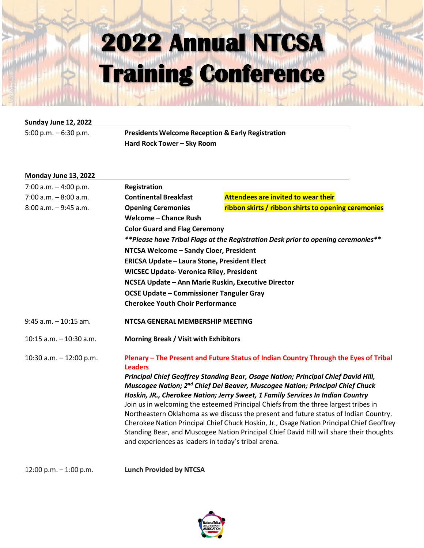#### **Sunday June 12, 2022**

| <b>Presidents Welcome Rece</b><br>5:00 p.m. $-6:30$ p.m. |
|----------------------------------------------------------|
|----------------------------------------------------------|

5:00 p.m. – 6:30 p.m. **Presidents Welcome Reception & Early Registration Hard Rock Tower – Sky Room**

| Monday June 13, 2022       |                                                                                                                                                                                |                                                                                          |  |
|----------------------------|--------------------------------------------------------------------------------------------------------------------------------------------------------------------------------|------------------------------------------------------------------------------------------|--|
| 7:00 a.m. $-4:00$ p.m.     | <b>Registration</b>                                                                                                                                                            |                                                                                          |  |
| $7:00$ a.m. $-8:00$ a.m.   | <b>Continental Breakfast</b>                                                                                                                                                   | <b>Attendees are invited to wear their</b>                                               |  |
| $8:00$ a.m. $-9:45$ a.m.   | <b>Opening Ceremonies</b>                                                                                                                                                      | ribbon skirts / ribbon shirts to opening ceremonies                                      |  |
|                            | <b>Welcome - Chance Rush</b>                                                                                                                                                   |                                                                                          |  |
|                            | <b>Color Guard and Flag Ceremony</b>                                                                                                                                           |                                                                                          |  |
|                            | **Please have Tribal Flags at the Registration Desk prior to opening ceremonies**                                                                                              |                                                                                          |  |
|                            | NTCSA Welcome - Sandy Cloer, President                                                                                                                                         |                                                                                          |  |
|                            | ERICSA Update - Laura Stone, President Elect                                                                                                                                   |                                                                                          |  |
|                            | <b>WICSEC Update- Veronica Riley, President</b>                                                                                                                                |                                                                                          |  |
|                            | NCSEA Update - Ann Marie Ruskin, Executive Director                                                                                                                            |                                                                                          |  |
|                            | <b>OCSE Update - Commissioner Tanguler Gray</b>                                                                                                                                |                                                                                          |  |
|                            | <b>Cherokee Youth Choir Performance</b>                                                                                                                                        |                                                                                          |  |
| $9:45$ a.m. $-10:15$ am.   | NTCSA GENERAL MEMBERSHIP MEETING                                                                                                                                               |                                                                                          |  |
| $10:15$ a.m. $-10:30$ a.m. | <b>Morning Break / Visit with Exhibitors</b>                                                                                                                                   |                                                                                          |  |
| 10:30 a.m. $-$ 12:00 p.m.  |                                                                                                                                                                                | Plenary - The Present and Future Status of Indian Country Through the Eyes of Tribal     |  |
|                            | <b>Leaders</b>                                                                                                                                                                 |                                                                                          |  |
|                            | Principal Chief Geoffrey Standing Bear, Osage Nation; Principal Chief David Hill,<br>Muscogee Nation; 2 <sup>nd</sup> Chief Del Beaver, Muscogee Nation; Principal Chief Chuck |                                                                                          |  |
|                            | Hoskin, JR., Cherokee Nation; Jerry Sweet, 1 Family Services In Indian Country                                                                                                 |                                                                                          |  |
|                            | Join us in welcoming the esteemed Principal Chiefs from the three largest tribes in                                                                                            |                                                                                          |  |
|                            |                                                                                                                                                                                | Northeastern Oklahoma as we discuss the present and future status of Indian Country.     |  |
|                            |                                                                                                                                                                                | Cherokee Nation Principal Chief Chuck Hoskin, Jr., Osage Nation Principal Chief Geoffrey |  |
|                            | and experiences as leaders in today's tribal arena.                                                                                                                            | Standing Bear, and Muscogee Nation Principal Chief David Hill will share their thoughts  |  |
|                            |                                                                                                                                                                                |                                                                                          |  |

12:00 p.m. – 1:00 p.m. **Lunch Provided by NTCSA**

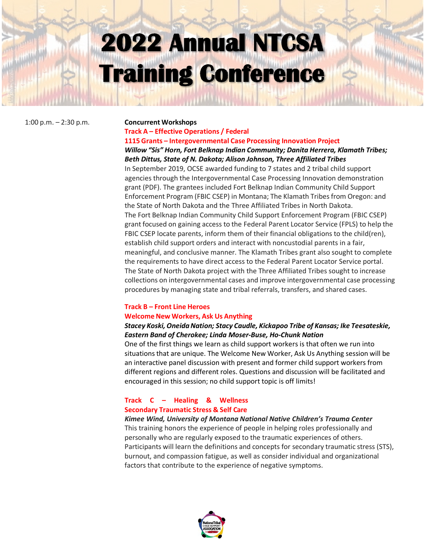#### 1:00 p.m. – 2:30 p.m. **Concurrent Workshops**

#### **Track A – Effective Operations / Federal 1115 Grants – Intergovernmental Case Processing Innovation Project**

#### *Willow "Sis" Horn, Fort Belknap Indian Community; Danita Herrera, Klamath Tribes; Beth Dittus, State of N. Dakota; Alison Johnson, Three Affiliated Tribes*

In September 2019, OCSE awarded funding to 7 states and 2 tribal child support agencies through the Intergovernmental Case Processing Innovation demonstration grant (PDF). The grantees included Fort Belknap Indian Community Child Support Enforcement Program (FBIC CSEP) in Montana; The Klamath Tribes from Oregon: and the State of North Dakota and the Three Affiliated Tribes in North Dakota. The Fort Belknap Indian Community Child Support Enforcement Program (FBIC CSEP) grant focused on gaining access to the Federal Parent Locator Service (FPLS) to help the FBIC CSEP locate parents, inform them of their financial obligations to the child(ren), establish child support orders and interact with noncustodial parents in a fair, meaningful, and conclusive manner. The Klamath Tribes grant also sought to complete the requirements to have direct access to the Federal Parent Locator Service portal. The State of North Dakota project with the Three Affiliated Tribes sought to increase collections on intergovernmental cases and improve intergovernmental case processing procedures by managing state and tribal referrals, transfers, and shared cases.

## **Track B – Front Line Heroes**

#### **Welcome New Workers, Ask Us Anything**

### *Stacey Koski, OneidaNation; Stacy Caudle, Kickapoo Tribe of Kansas; Ike Teesateskie, Eastern Band of Cherokee; Linda Moser-Buse, Ho-Chunk Nation*

One of the first things we learn as child support workers is that often we run into situations that are unique. The Welcome New Worker, Ask Us Anything session will be an interactive panel discussion with present and former child support workers from different regions and different roles. Questions and discussion will be facilitated and encouraged in this session; no child support topic is off limits!

### **Track C – Healing & Wellness Secondary Traumatic Stress & Self Care**

#### *Kimee Wind, University of Montana National Native Children's Trauma Center*

This training honors the experience of people in helping roles professionally and personally who are regularly exposed to the traumatic experiences of others. Participants will learn the definitions and concepts for secondary traumatic stress (STS), burnout, and compassion fatigue, as well as consider individual and organizational factors that contribute to the experience of negative symptoms.

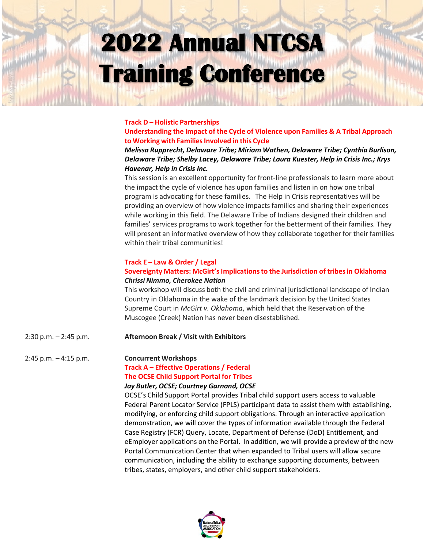#### **Track D – Holistic Partnerships**

**Understanding the Impact of the Cycle of Violence upon Families & A Tribal Approach to Working with FamiliesInvolved in this Cycle**

#### *Melissa Rupprecht, Delaware Tribe; Miriam Wathen, Delaware Tribe; Cynthia Burlison, Delaware Tribe; Shelby Lacey, Delaware Tribe; Laura Kuester, Help in Crisis Inc.; Krys Havenar, Help in Crisis Inc.*

This session is an excellent opportunity for front-line professionals to learn more about the impact the cycle of violence has upon families and listen in on how one tribal program is advocating for these families. The Help in Crisis representatives will be providing an overview of how violence impacts families and sharing their experiences while working in this field. The Delaware Tribe of Indians designed their children and families' services programs to work together for the betterment of their families. They will present an informative overview of how they collaborate together for their families within their tribal communities!

#### **Track E – Law & Order / Legal**

#### **Sovereignty Matters: McGirt'sImplicationsto the Jurisdiction of tribesin Oklahoma** *Chrissi Nimmo, Cherokee Nation*

This workshop will discuss both the civil and criminal jurisdictional landscape of Indian Country in Oklahoma in the wake of the landmark decision by the United States Supreme Court in *McGirt v. Oklahoma*, which held that the Reservation of the Muscogee (Creek) Nation has never been disestablished.

#### 2:30 p.m. – 2:45 p.m. **Afternoon Break / Visit with Exhibitors**

2:45 p.m. – 4:15 p.m. **Concurrent Workshops**

#### **Track A – Effective Operations / Federal**

#### **The OCSE Child Support Portal for Tribes**

#### *Jay Butler, OCSE; Courtney Garnand, OCSE*

OCSE's Child Support Portal provides Tribal child support users access to valuable Federal Parent Locator Service (FPLS) participant data to assist them with establishing, modifying, or enforcing child support obligations. Through an interactive application demonstration, we will cover the types of information available through the Federal Case Registry (FCR) Query, Locate, Department of Defense (DoD) Entitlement, and eEmployer applications on the Portal. In addition, we will provide a preview of the new Portal Communication Center that when expanded to Tribal users will allow secure communication, including the ability to exchange supporting documents, between tribes, states, employers, and other child support stakeholders.

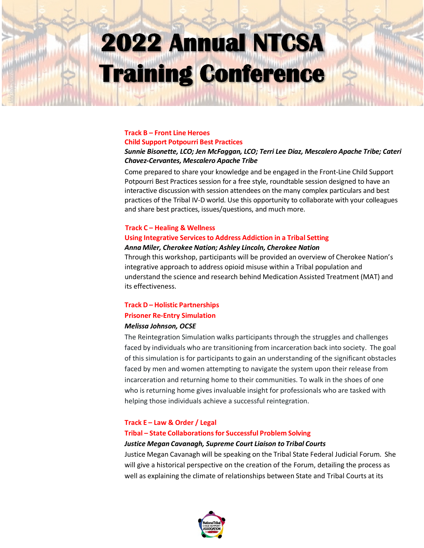#### **Track B – Front Line Heroes Child Support Potpourri Best Practices**

#### *Sunnie Bisonette, LCO; Jen McFaggan, LCO; Terri Lee Diaz, Mescalero Apache Tribe; Cateri Chavez-Cervantes, Mescalero Apache Tribe*

Come prepared to share your knowledge and be engaged in the Front-Line Child Support Potpourri Best Practices session for a free style, roundtable session designed to have an interactive discussion with session attendees on the many complex particulars and best practices of the Tribal IV-D world. Use this opportunity to collaborate with your colleagues and share best practices, issues/questions, and much more.

#### **Track C – Healing & Wellness**

### **Using Integrative Servicesto Address Addiction in a Tribal Setting**

#### *Anna Miler, Cherokee Nation; Ashley Lincoln, Cherokee Nation*

Through this workshop, participants will be provided an overview of Cherokee Nation's integrative approach to address opioid misuse within a Tribal population and understand the science and research behind Medication Assisted Treatment (MAT) and its effectiveness.

#### **Track D – Holistic Partnerships**

#### **Prisoner Re-Entry Simulation**

#### *Melissa Johnson, OCSE*

The Reintegration Simulation walks participants through the struggles and challenges faced by individuals who are transitioning from incarceration back into society. The goal of this simulation is for participants to gain an understanding of the significant obstacles faced by men and women attempting to navigate the system upon their release from incarceration and returning home to their communities. To walk in the shoes of one who is returning home gives invaluable insight for professionals who are tasked with helping those individuals achieve a successful reintegration.

#### **Track E – Law & Order / Legal**

#### **Tribal – State Collaborationsfor Successful Problem Solving**

#### *Justice Megan Cavanagh, Supreme Court Liaison to Tribal Courts*

Justice Megan Cavanagh will be speaking on the Tribal State Federal Judicial Forum. She will give a historical perspective on the creation of the Forum, detailing the process as well as explaining the climate of relationships between State and Tribal Courts at its

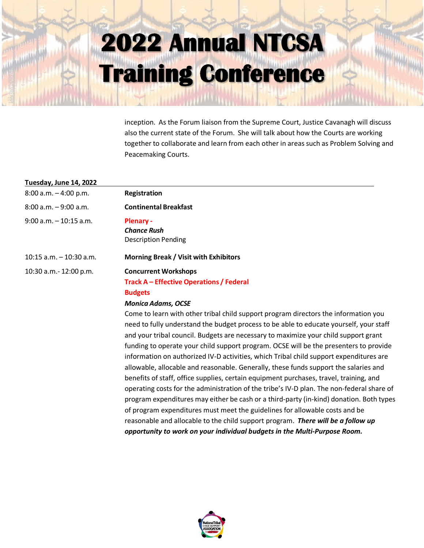inception. As the Forum liaison from the Supreme Court, Justice Cavanagh will discuss also the current state of the Forum. She will talk about how the Courts are working together to collaborate and learn from each other in areas such as Problem Solving and Peacemaking Courts.

## **Tuesday, June 14, 2022**

| 8:00 a.m. - 4:00 p.m.   | Registration                                                                                                                                                                                                                                                                                                                                                                                                                                                                                                                    |
|-------------------------|---------------------------------------------------------------------------------------------------------------------------------------------------------------------------------------------------------------------------------------------------------------------------------------------------------------------------------------------------------------------------------------------------------------------------------------------------------------------------------------------------------------------------------|
| 8:00 a.m. - 9:00 a.m.   | <b>Continental Breakfast</b>                                                                                                                                                                                                                                                                                                                                                                                                                                                                                                    |
| 9:00 a.m. - 10:15 a.m.  | <b>Plenary -</b><br><b>Chance Rush</b><br><b>Description Pending</b>                                                                                                                                                                                                                                                                                                                                                                                                                                                            |
| 10:15 a.m. - 10:30 a.m. | <b>Morning Break / Visit with Exhibitors</b>                                                                                                                                                                                                                                                                                                                                                                                                                                                                                    |
| 10:30 a.m.- 12:00 p.m.  | <b>Concurrent Workshops</b><br><b>Track A – Effective Operations / Federal</b><br><b>Budgets</b><br><b>Monica Adams, OCSE</b><br>Come to learn with other tribal child support program directors the inforr<br>need to fully understand the budget process to be able to educate yourse<br>and your tribal council. Budgets are necessary to maximize your child sup<br>funding to operate your child support program. OCSE will be the presente<br>information on authorized IV-D activities, which Tribal child support exper |
|                         | allowable, allocable and reasonable. Generally, these funds support the sa<br>benefits of staff, office supplies, certain equipment purchases, travel, trai<br>operating costs for the administration of the tribe's IV-D plan. The non-fee                                                                                                                                                                                                                                                                                     |

nation you lf, your staff port grant ers to provide nditures are alaries and benefits of staff, office supplies, certain equipment purchases, travel, training, and deral share of program expenditures may either be cash or a third-party (in-kind) donation. Both types of program expenditures must meet the guidelines for allowable costs and be reasonable and allocable to the child support program. *There will be a follow up opportunity to work on your individual budgets in the Multi-Purpose Room.*

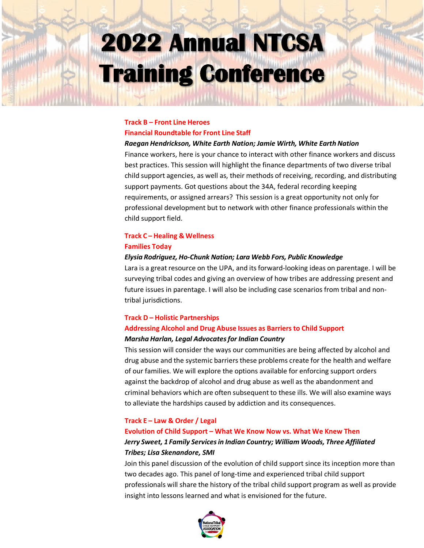#### **Track B – Front Line Heroes Financial Roundtable for Front Line Staff**

#### *Raegan Hendrickson, White Earth Nation; Jamie Wirth, White Earth Nation*

Finance workers, here is your chance to interact with other finance workers and discuss best practices. This session will highlight the finance departments of two diverse tribal child support agencies, as well as, their methods of receiving, recording, and distributing support payments. Got questions about the 34A, federal recording keeping requirements, or assigned arrears? This session is a great opportunity not only for professional development but to network with other finance professionals within the child support field.

#### **Track C – Healing & Wellness Families Today**

#### *Elysia Rodriguez, Ho-Chunk Nation; Lara Webb Fors, Public Knowledge*

Lara is a great resource on the UPA, and its forward-looking ideas on parentage. I will be surveying tribal codes and giving an overview of how tribes are addressing present and future issues in parentage. I will also be including case scenarios from tribal and nontribal jurisdictions.

## **Track D – Holistic Partnerships Addressing Alcohol and Drug Abuse Issues as Barriers to Child Support**

#### *Marsha Harlan, Legal Advocatesfor Indian Country*

This session will consider the ways our communities are being affected by alcohol and drug abuse and the systemic barriers these problems create for the health and welfare of our families. We will explore the options available for enforcing support orders against the backdrop of alcohol and drug abuse as well as the abandonment and criminal behaviors which are often subsequent to these ills. We will also examine ways to alleviate the hardships caused by addiction and its consequences.

#### **Track E – Law & Order / Legal**

## **Evolution of Child Support – What We Know Now vs. What We Knew Then** *Jerry Sweet, 1 Family Servicesin Indian Country; William Woods, Three Affiliated Tribes; Lisa Skenandore, SMI*

Join this panel discussion of the evolution of child support since its inception more than two decades ago. This panel of long-time and experienced tribal child support professionals will share the history of the tribal child support program as well as provide insight into lessons learned and what is envisioned for the future.

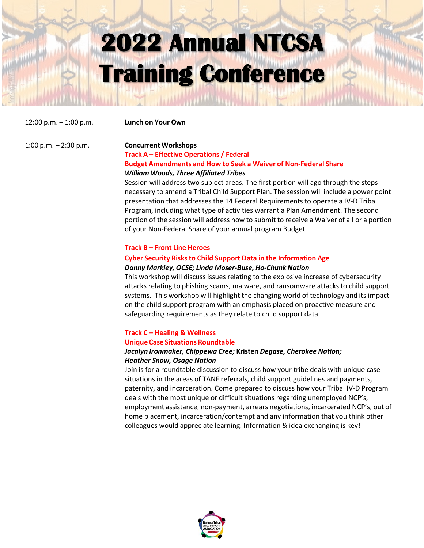12:00 p.m. – 1:00 p.m. **Lunch on Your Own**

#### 1:00 p.m. – 2:30 p.m. **Concurrent Workshops**

#### **Track A – Effective Operations / Federal Budget Amendments and How to Seek a Waiver of Non-Federal Share** *William Woods, Three Affiliated Tribes*

Session will address two subject areas. The first portion will ago through the steps necessary to amend a Tribal Child Support Plan. The session will include a power point presentation that addresses the 14 Federal Requirements to operate a IV-D Tribal Program, including what type of activities warrant a Plan Amendment. The second portion of the session will address how to submit to receive a Waiver of all or a portion of your Non-Federal Share of your annual program Budget.

#### **Track B – Front Line Heroes**

#### **Cyber Security Risksto Child Support Data in the Information Age**

#### *Danny Markley, OCSE; Linda Moser-Buse, Ho-Chunk Nation*

This workshop will discuss issues relating to the explosive increase of cybersecurity attacks relating to phishing scams, malware, and ransomware attacks to child support systems. This workshop will highlight the changing world of technology and its impact on the child support program with an emphasis placed on proactive measure and safeguarding requirements as they relate to child support data.

## **Track C – Healing & Wellness Unique Case Situations Roundtable**

#### *Jacalyn Ironmaker, Chippewa Cree;* **Kristen** *Degase, Cherokee Nation; Heather Snow, Osage Nation*

Join is for a roundtable discussion to discuss how your tribe deals with unique case situations in the areas of TANF referrals, child support guidelines and payments, paternity, and incarceration. Come prepared to discuss how your Tribal IV-D Program deals with the most unique or difficult situations regarding unemployed NCP's, employment assistance, non-payment, arrears negotiations, incarcerated NCP's, out of home placement, incarceration/contempt and any information that you think other colleagues would appreciate learning. Information & idea exchanging is key!

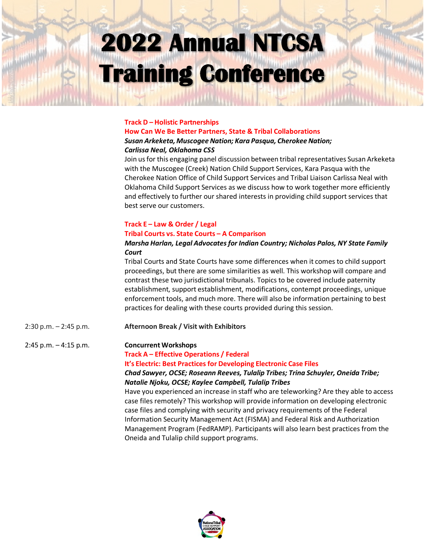#### **Track D – Holistic Partnerships**

#### **How Can We Be Better Partners, State & Tribal Collaborations**  *Susan Arkeketa, MuscogeeNation; Kara Pasqua, CherokeeNation; Carlissa Neal, Oklahoma CSS*

Join usfor this engaging panel discussion between tribal representatives Susan Arkeketa with the Muscogee (Creek) Nation Child Support Services, Kara Pasqua with the Cherokee Nation Office of Child Support Services and Tribal Liaison Carlissa Neal with Oklahoma Child Support Services as we discuss how to work together more efficiently and effectively to further our shared interests in providing child support services that best serve our customers.

## **Track E – Law & Order / Legal**

#### **Tribal Courts vs. State Courts – A Comparison**

#### *Marsha Harlan, Legal Advocatesfor Indian Country; Nicholas Palos, NY State Family Court*

Tribal Courts and State Courts have some differences when it comes to child support proceedings, but there are some similarities as well. This workshop will compare and contrast these two jurisdictional tribunals. Topics to be covered include paternity establishment, support establishment, modifications, contempt proceedings, unique enforcement tools, and much more. There will also be information pertaining to best practices for dealing with these courts provided during this session.

2:30 p.m. – 2:45 p.m. **Afternoon Break / Visit with Exhibitors**

#### 2:45 p.m. – 4:15 p.m. **Concurrent Workshops**

**Track A – Effective Operations / Federal**

**It's Electric: Best Practices for Developing Electronic Case Files**

#### *Chad Sawyer, OCSE; Roseann Reeves, Tulalip Tribes; Trina Schuyler, Oneida Tribe; Natalie Njoku, OCSE; Kaylee Campbell, Tulalip Tribes*

Have you experienced an increase in staff who are teleworking? Are they able to access case files remotely? This workshop will provide information on developing electronic case files and complying with security and privacy requirements of the Federal Information Security Management Act (FISMA) and Federal Risk and Authorization Management Program (FedRAMP). Participants will also learn best practices from the Oneida and Tulalip child support programs.

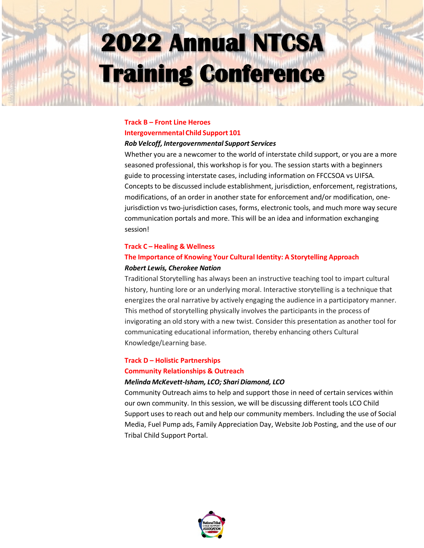## **Track B – Front Line Heroes Intergovernmental Child Support 101**

#### *Rob Velcoff, Intergovernmental Support Services*

Whether you are a newcomer to the world of interstate child support, or you are a more seasoned professional, this workshop is for you. The session starts with a beginners guide to processing interstate cases, including information on FFCCSOA vs UIFSA. Concepts to be discussed include establishment, jurisdiction, enforcement, registrations, modifications, of an order in another state for enforcement and/or modification, onejurisdiction vs two-jurisdiction cases, forms, electronic tools, and much more way secure communication portals and more. This will be an idea and information exchanging session!

#### **Track C – Healing & Wellness**

## **The Importance of Knowing Your Cultural Identity: A Storytelling Approach**

#### *Robert Lewis, Cherokee Nation*

Traditional Storytelling has always been an instructive teaching tool to impart cultural history, hunting lore or an underlying moral. Interactive storytelling is a technique that energizes the oral narrative by actively engaging the audience in a participatory manner. This method of storytelling physically involves the participants in the process of invigorating an old story with a new twist. Consider this presentation as another tool for communicating educational information, thereby enhancing others Cultural Knowledge/Learning base.

### **Track D – Holistic Partnerships Community Relationships & Outreach**

#### *Melinda McKevett-Isham, LCO; Shari Diamond, LCO*

Community Outreach aims to help and support those in need of certain services within our own community. In this session, we will be discussing different tools LCO Child Support uses to reach out and help our community members. Including the use of Social Media, Fuel Pump ads, Family Appreciation Day, Website Job Posting, and the use of our Tribal Child Support Portal.

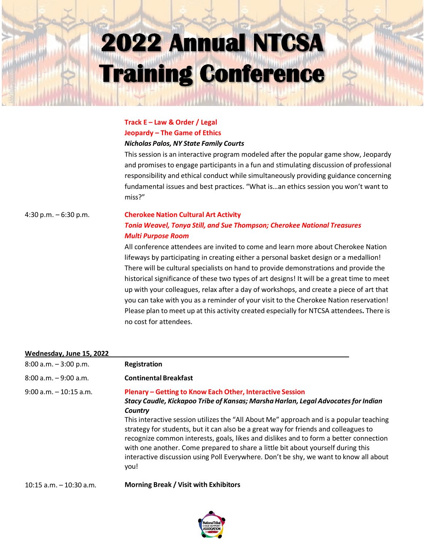### **Track E – Law & Order / Legal Jeopardy – The Game of Ethics**  *Nicholas Palos, NY State Family Courts*

This session is an interactive program modeled after the popular game show, Jeopardy and promises to engage participants in a fun and stimulating discussion of professional responsibility and ethical conduct while simultaneously providing guidance concerning fundamental issues and best practices. "What is…an ethics session you won't want to miss?"

### 4:30 p.m. – 6:30 p.m. **Cherokee Nation Cultural Art Activity** *Tonia Weavel, Tonya Still, and Sue Thompson; Cherokee National Treasures Multi Purpose Room*

All conference attendees are invited to come and learn more about Cherokee Nation lifeways by participating in creating either a personal basket design or a medallion! There will be cultural specialists on hand to provide demonstrations and provide the historical significance of these two types of art designs! It will be a great time to meet up with your colleagues, relax after a day of workshops, and create a piece of art that you can take with you as a reminder of your visit to the Cherokee Nation reservation! Please plan to meet up at this activity created especially for NTCSA attendees**.** There is no cost for attendees.

#### **Wednesday, June 15, 2022**

| $8:00$ a.m. $-3:00$ p.m.   | Registration                                                                                                                                                                                                                                                                                                                                                                                                                                                                                                                                                                                                              |
|----------------------------|---------------------------------------------------------------------------------------------------------------------------------------------------------------------------------------------------------------------------------------------------------------------------------------------------------------------------------------------------------------------------------------------------------------------------------------------------------------------------------------------------------------------------------------------------------------------------------------------------------------------------|
| $8:00$ a.m. $-9:00$ a.m.   | <b>Continental Breakfast</b>                                                                                                                                                                                                                                                                                                                                                                                                                                                                                                                                                                                              |
| $9:00$ a.m. $-10:15$ a.m.  | Plenary – Getting to Know Each Other, Interactive Session<br>Stacy Caudle, Kickapoo Tribe of Kansas; Marsha Harlan, Legal Advocates for Indian<br>Country<br>This interactive session utilizes the "All About Me" approach and is a popular teaching<br>strategy for students, but it can also be a great way for friends and colleagues to<br>recognize common interests, goals, likes and dislikes and to form a better connection<br>with one another. Come prepared to share a little bit about yourself during this<br>interactive discussion using Poll Everywhere. Don't be shy, we want to know all about<br>you! |
| $10:15$ a.m. $-10:30$ a.m. | <b>Morning Break / Visit with Exhibitors</b>                                                                                                                                                                                                                                                                                                                                                                                                                                                                                                                                                                              |

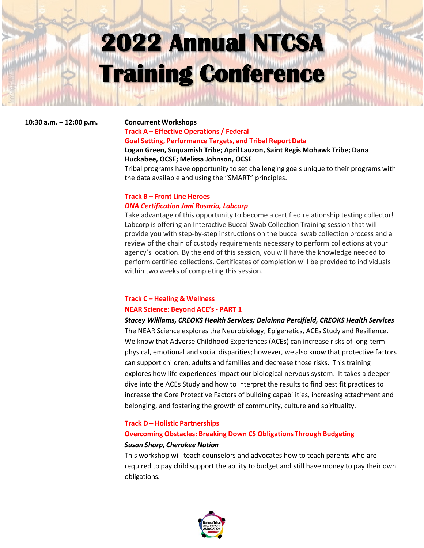#### **10:30 a.m. – 12:00 p.m. Concurrent Workshops**

### **Track A – Effective Operations / Federal Goal Setting, Performance Targets, and Tribal ReportData**

#### **Logan Green, Suquamish Tribe; April Lauzon, Saint Regis Mohawk Tribe; Dana Huckabee, OCSE; Melissa Johnson, OCSE**

Tribal programs have opportunity to set challenging goals unique to their programs with the data available and using the "SMART" principles.

### **Track B – Front Line Heroes** *DNA Certification Jani Rosario, Labcorp*

Take advantage of this opportunity to become a certified relationship testing collector! Labcorp is offering an Interactive Buccal Swab Collection Training session that will provide you with step-by-step instructions on the buccal swab collection process and a review of the chain of custody requirements necessary to perform collections at your agency's location. By the end of this session, you will have the knowledge needed to perform certified collections. Certificates of completion will be provided to individuals within two weeks of completing this session.

### **Track C – Healing & Wellness NEAR Science: Beyond ACE's- PART 1**

*Stacey Williams, CREOKS Health Services; Delainna Percifield, CREOKS Health Services*  The NEAR Science explores the Neurobiology, Epigenetics, ACEs Study and Resilience. We know that Adverse Childhood Experiences (ACEs) can increase risks of long-term physical, emotional and social disparities; however, we also know that protective factors can support children, adults and families and decrease those risks. This training explores how life experiences impact our biological nervous system. It takes a deeper dive into the ACEs Study and how to interpret the results to find best fit practices to increase the Core Protective Factors of building capabilities, increasing attachment and belonging, and fostering the growth of community, culture and spirituality.

#### **Track D – Holistic Partnerships**

#### **Overcoming Obstacles: Breaking Down CS ObligationsThrough Budgeting**

#### *Susan Sharp, Cherokee Nation*

This workshop will teach counselors and advocates how to teach parents who are required to pay child support the ability to budget and still have money to pay their own obligations.

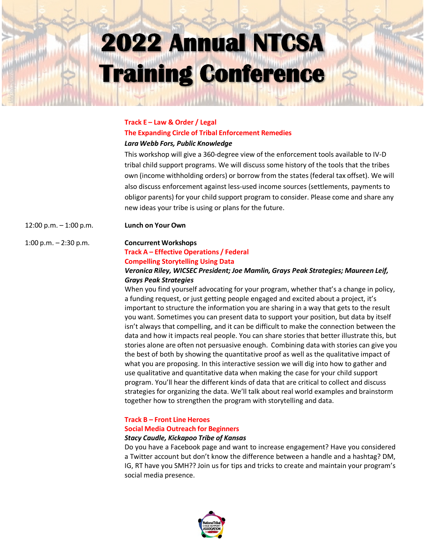#### **Track E – Law & Order / Legal**

### **The Expanding Circle of Tribal Enforcement Remedies** *Lara Webb Fors, Public Knowledge*

This workshop will give a 360-degree view of the enforcement tools available to IV-D tribal child support programs. We will discuss some history of the tools that the tribes own (income withholding orders) or borrow from the states (federal tax offset). We will also discuss enforcement against less-used income sources (settlements, payments to obligor parents) for your child support program to consider. Please come and share any new ideas your tribe is using or plans for the future.

12:00 p.m. – 1:00 p.m. **Lunch on Your Own**

#### 1:00 p.m. – 2:30 p.m. **Concurrent Workshops**

## **Track A – Effective Operations / Federal Compelling Storytelling Using Data**

#### *Veronica Riley, WICSEC President; Joe Mamlin, Grays Peak Strategies; Maureen Leif, Grays Peak Strategies*

When you find yourself advocating for your program, whether that's a change in policy, a funding request, or just getting people engaged and excited about a project, it's important to structure the information you are sharing in a way that gets to the result you want. Sometimes you can present data to support your position, but data by itself isn't always that compelling, and it can be difficult to make the connection between the data and how it impacts real people. You can share stories that better illustrate this, but stories alone are often not persuasive enough. Combining data with stories can give you the best of both by showing the quantitative proof as well as the qualitative impact of what you are proposing. In this interactive session we will dig into how to gather and use qualitative and quantitative data when making the case for your child support program. You'll hear the different kinds of data that are critical to collect and discuss strategies for organizing the data. We'll talk about real world examples and brainstorm together how to strengthen the program with storytelling and data.

## **Track B – Front Line Heroes Social Media Outreach for Beginners**

#### *Stacy Caudle, Kickapoo Tribe of Kansas*

Do you have a Facebook page and want to increase engagement? Have you considered a Twitter account but don't know the difference between a handle and a hashtag? DM, IG, RT have you SMH?? Join us for tips and tricks to create and maintain your program's social media presence.

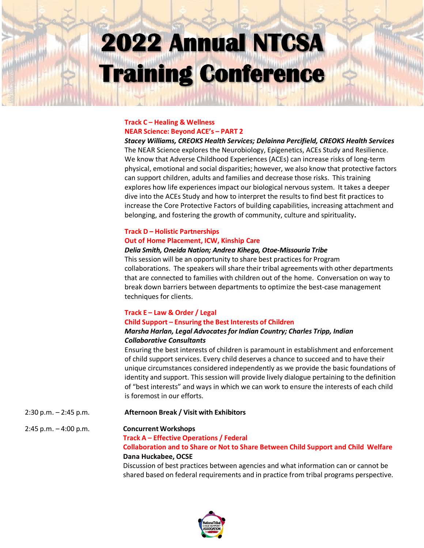#### **Track C – Healing & Wellness NEAR Science: Beyond ACE's – PART 2**

*Stacey Williams, CREOKS Health Services; Delainna Percifield, CREOKS Health Services*  The NEAR Science explores the Neurobiology, Epigenetics, ACEs Study and Resilience. We know that Adverse Childhood Experiences (ACEs) can increase risks of long-term physical, emotional and social disparities; however, we also know that protective factors can support children, adults and families and decrease those risks. This training explores how life experiences impact our biological nervous system. It takes a deeper dive into the ACEs Study and how to interpret the results to find best fit practices to increase the Core Protective Factors of building capabilities, increasing attachment and belonging, and fostering the growth of community, culture and spirituality**.**

### **Track D – Holistic Partnerships Out of Home Placement, ICW, Kinship Care**

#### *Delia Smith, Oneida Nation; Andrea Kihega, Otoe-Missouria Tribe*

This session will be an opportunity to share best practices for Program collaborations. The speakers will share their tribal agreements with other departments that are connected to families with children out of the home. Conversation on way to break down barriers between departments to optimize the best-case management techniques for clients.

#### **Track E – Law & Order / Legal Child Support – Ensuring the Best Interests of Children**

#### *Marsha Harlan, Legal Advocatesfor Indian Country; Charles Tripp, Indian Collaborative Consultants*

Ensuring the best interests of children is paramount in establishment and enforcement of child support services. Every child deserves a chance to succeed and to have their unique circumstances considered independently as we provide the basic foundations of identity and support. This session will provide lively dialogue pertaining to the definition of "best interests" and ways in which we can work to ensure the interests of each child is foremost in our efforts.

 $2:30$  p.m.  $-2:45$  p.m. **Afternoon Break / Visit with Exhibitors**

#### 2:45 p.m. – 4:00 p.m. **Concurrent Workshops**

### **Track A – Effective Operations / Federal**

### **Collaboration and to Share or Not to Share Between Child Support and Child Welfare Dana Huckabee, OCSE**

Discussion of best practices between agencies and what information can or cannot be shared based on federal requirements and in practice from tribal programs perspective.

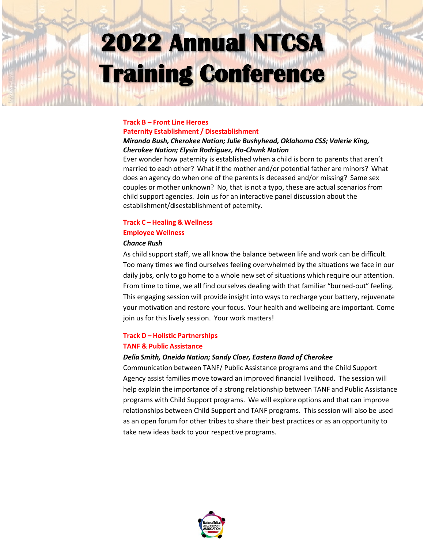## **Track B – Front Line Heroes**

### **Paternity Establishment / Disestablishment**

#### *Miranda Bush, Cherokee Nation; Julie Bushyhead, Oklahoma CSS; Valerie King, Cherokee Nation; Elysia Rodriguez, Ho-Chunk Nation*

Ever wonder how paternity is established when a child is born to parents that aren't married to each other? What if the mother and/or potential father are minors? What does an agency do when one of the parents is deceased and/or missing? Same sex couples or mother unknown? No, that is not a typo, these are actual scenarios from child support agencies. Join us for an interactive panel discussion about the establishment/disestablishment of paternity.

#### **Track C – Healing & Wellness**

#### **Employee Wellness**

#### *Chance Rush*

As child support staff, we all know the balance between life and work can be difficult. Too many times we find ourselves feeling overwhelmed by the situations we face in our daily jobs, only to go home to a whole new set of situations which require our attention. From time to time, we all find ourselves dealing with that familiar "burned-out" feeling. This engaging session will provide insight into ways to recharge your battery, rejuvenate your motivation and restore your focus. Your health and wellbeing are important. Come join us for this lively session. Your work matters!

## **Track D – Holistic Partnerships TANF & Public Assistance**

#### *Delia Smith, Oneida Nation; Sandy Cloer, Eastern Band of Cherokee*

Communication between TANF/ Public Assistance programs and the Child Support Agency assist families move toward an improved financial livelihood. The session will help explain the importance of a strong relationship between TANF and Public Assistance programs with Child Support programs. We will explore options and that can improve relationships between Child Support and TANF programs. This session will also be used as an open forum for other tribes to share their best practices or as an opportunity to take new ideas back to your respective programs.